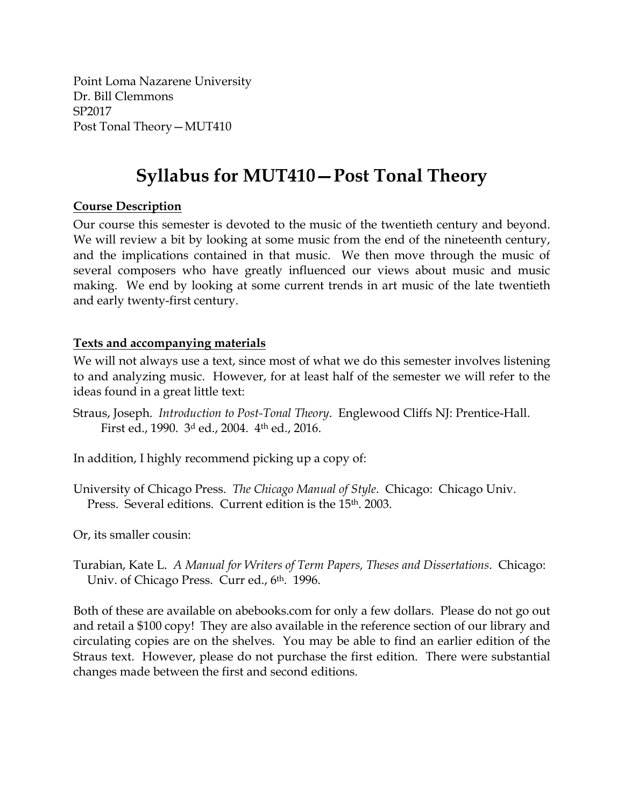Point Loma Nazarene University Dr. Bill Clemmons SP2017 Post Tonal Theory—MUT410

# **Syllabus for MUT410—Post Tonal Theory**

## **Course Description**

Our course this semester is devoted to the music of the twentieth century and beyond. We will review a bit by looking at some music from the end of the nineteenth century, and the implications contained in that music. We then move through the music of several composers who have greatly influenced our views about music and music making. We end by looking at some current trends in art music of the late twentieth and early twenty-first century.

#### **Texts and accompanying materials**

We will not always use a text, since most of what we do this semester involves listening to and analyzing music. However, for at least half of the semester we will refer to the ideas found in a great little text:

Straus, Joseph. *Introduction to Post-Tonal Theory*. Englewood Cliffs NJ: Prentice-Hall. First ed., 1990. 3d ed., 2004. 4th ed., 2016.

In addition, I highly recommend picking up a copy of:

University of Chicago Press. *The Chicago Manual of Style*. Chicago: Chicago Univ. Press. Several editions. Current edition is the 15th. 2003.

Or, its smaller cousin:

Turabian, Kate L. *A Manual for Writers of Term Papers, Theses and Dissertations*. Chicago: Univ. of Chicago Press. Curr ed., 6<sup>th</sup>. 1996.

Both of these are available on abebooks.com for only a few dollars. Please do not go out and retail a \$100 copy! They are also available in the reference section of our library and circulating copies are on the shelves. You may be able to find an earlier edition of the Straus text. However, please do not purchase the first edition. There were substantial changes made between the first and second editions.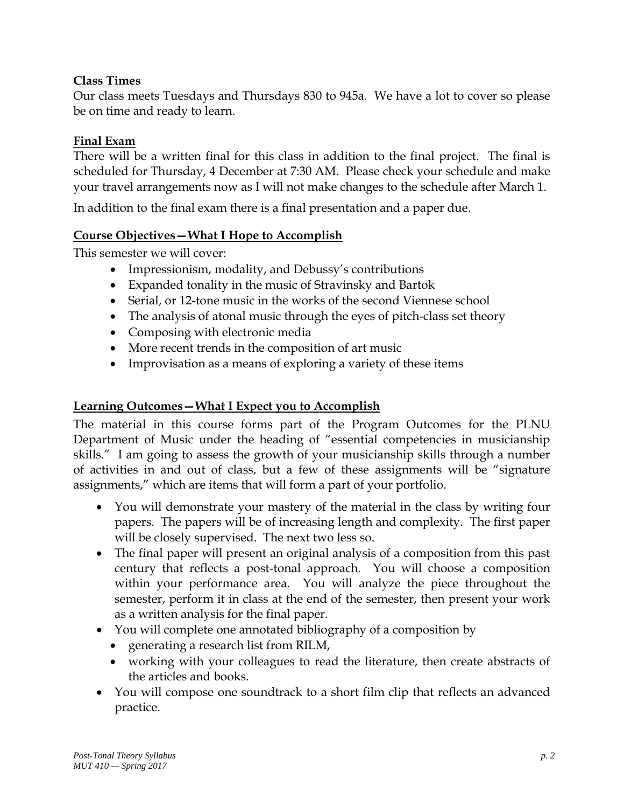# **Class Times**

Our class meets Tuesdays and Thursdays 830 to 945a. We have a lot to cover so please be on time and ready to learn.

#### **Final Exam**

There will be a written final for this class in addition to the final project. The final is scheduled for Thursday, 4 December at 7:30 AM. Please check your schedule and make your travel arrangements now as I will not make changes to the schedule after March 1.

In addition to the final exam there is a final presentation and a paper due.

#### **Course Objectives—What I Hope to Accomplish**

This semester we will cover:

- Impressionism, modality, and Debussy's contributions
- Expanded tonality in the music of Stravinsky and Bartok
- Serial, or 12-tone music in the works of the second Viennese school
- The analysis of atonal music through the eyes of pitch-class set theory
- Composing with electronic media
- More recent trends in the composition of art music
- Improvisation as a means of exploring a variety of these items

## **Learning Outcomes—What I Expect you to Accomplish**

The material in this course forms part of the Program Outcomes for the PLNU Department of Music under the heading of "essential competencies in musicianship skills." I am going to assess the growth of your musicianship skills through a number of activities in and out of class, but a few of these assignments will be "signature assignments," which are items that will form a part of your portfolio.

- You will demonstrate your mastery of the material in the class by writing four papers. The papers will be of increasing length and complexity. The first paper will be closely supervised. The next two less so.
- The final paper will present an original analysis of a composition from this past century that reflects a post-tonal approach. You will choose a composition within your performance area. You will analyze the piece throughout the semester, perform it in class at the end of the semester, then present your work as a written analysis for the final paper.
- You will complete one annotated bibliography of a composition by
	- generating a research list from RILM,
	- working with your colleagues to read the literature, then create abstracts of the articles and books.
- You will compose one soundtrack to a short film clip that reflects an advanced practice.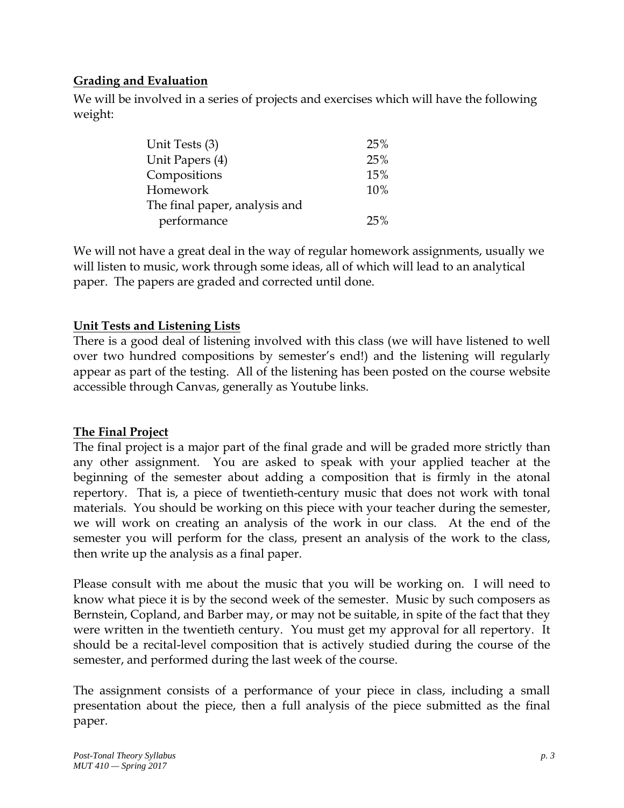# **Grading and Evaluation**

We will be involved in a series of projects and exercises which will have the following weight:

| Unit Tests (3)                | 25% |
|-------------------------------|-----|
| Unit Papers (4)               | 25% |
| Compositions                  | 15% |
| Homework                      | 10% |
| The final paper, analysis and |     |
| performance                   | 25% |

We will not have a great deal in the way of regular homework assignments, usually we will listen to music, work through some ideas, all of which will lead to an analytical paper. The papers are graded and corrected until done.

# **Unit Tests and Listening Lists**

There is a good deal of listening involved with this class (we will have listened to well over two hundred compositions by semester's end!) and the listening will regularly appear as part of the testing. All of the listening has been posted on the course website accessible through Canvas, generally as Youtube links.

## **The Final Project**

The final project is a major part of the final grade and will be graded more strictly than any other assignment. You are asked to speak with your applied teacher at the beginning of the semester about adding a composition that is firmly in the atonal repertory. That is, a piece of twentieth-century music that does not work with tonal materials. You should be working on this piece with your teacher during the semester, we will work on creating an analysis of the work in our class. At the end of the semester you will perform for the class, present an analysis of the work to the class, then write up the analysis as a final paper.

Please consult with me about the music that you will be working on. I will need to know what piece it is by the second week of the semester. Music by such composers as Bernstein, Copland, and Barber may, or may not be suitable, in spite of the fact that they were written in the twentieth century. You must get my approval for all repertory. It should be a recital-level composition that is actively studied during the course of the semester, and performed during the last week of the course.

The assignment consists of a performance of your piece in class, including a small presentation about the piece, then a full analysis of the piece submitted as the final paper.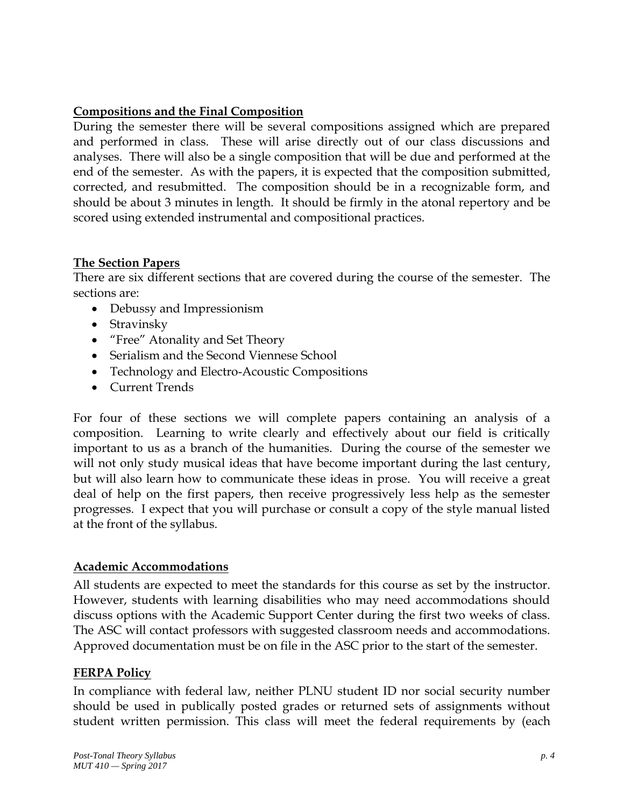## **Compositions and the Final Composition**

During the semester there will be several compositions assigned which are prepared and performed in class. These will arise directly out of our class discussions and analyses. There will also be a single composition that will be due and performed at the end of the semester. As with the papers, it is expected that the composition submitted, corrected, and resubmitted. The composition should be in a recognizable form, and should be about 3 minutes in length. It should be firmly in the atonal repertory and be scored using extended instrumental and compositional practices.

#### **The Section Papers**

There are six different sections that are covered during the course of the semester. The sections are:

- Debussy and Impressionism
- Stravinsky
- "Free" Atonality and Set Theory
- Serialism and the Second Viennese School
- Technology and Electro-Acoustic Compositions
- Current Trends

For four of these sections we will complete papers containing an analysis of a composition. Learning to write clearly and effectively about our field is critically important to us as a branch of the humanities. During the course of the semester we will not only study musical ideas that have become important during the last century, but will also learn how to communicate these ideas in prose. You will receive a great deal of help on the first papers, then receive progressively less help as the semester progresses. I expect that you will purchase or consult a copy of the style manual listed at the front of the syllabus.

## **Academic Accommodations**

All students are expected to meet the standards for this course as set by the instructor. However, students with learning disabilities who may need accommodations should discuss options with the Academic Support Center during the first two weeks of class. The ASC will contact professors with suggested classroom needs and accommodations. Approved documentation must be on file in the ASC prior to the start of the semester.

## **FERPA Policy**

In compliance with federal law, neither PLNU student ID nor social security number should be used in publically posted grades or returned sets of assignments without student written permission. This class will meet the federal requirements by (each